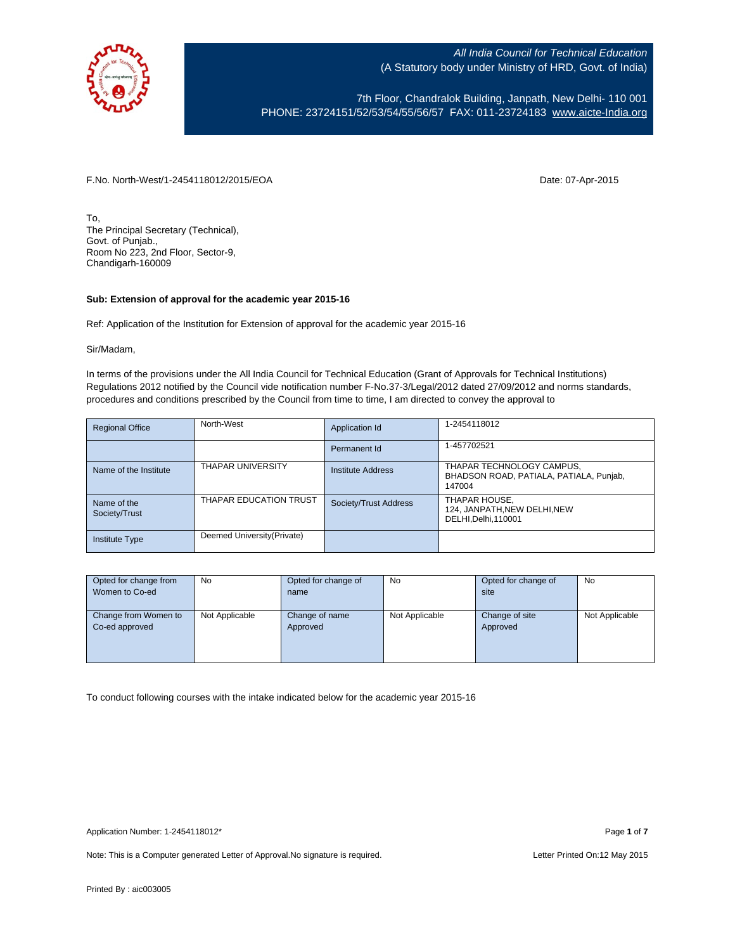

7th Floor, Chandralok Building, Janpath, New Delhi- 110 001 PHONE: 23724151/52/53/54/55/56/57 FAX: 011-23724183 [www.aicte-India.org](http://www.aicte-india.org/)

F.No. North-West/1-2454118012/2015/EOA Date: 07-Apr-2015

To, The Principal Secretary (Technical), Govt. of Punjab., Room No 223, 2nd Floor, Sector-9, Chandigarh-160009

### **Sub: Extension of approval for the academic year 2015-16**

Ref: Application of the Institution for Extension of approval for the academic year 2015-16

Sir/Madam,

In terms of the provisions under the All India Council for Technical Education (Grant of Approvals for Technical Institutions) Regulations 2012 notified by the Council vide notification number F-No.37-3/Legal/2012 dated 27/09/2012 and norms standards, procedures and conditions prescribed by the Council from time to time, I am directed to convey the approval to

| <b>Regional Office</b>       | North-West                  | Application Id        | 1-2454118012                                                                   |
|------------------------------|-----------------------------|-----------------------|--------------------------------------------------------------------------------|
|                              |                             | Permanent Id          | 1-457702521                                                                    |
| Name of the Institute        | <b>THAPAR UNIVERSITY</b>    | Institute Address     | THAPAR TECHNOLOGY CAMPUS,<br>BHADSON ROAD, PATIALA, PATIALA, Punjab,<br>147004 |
| Name of the<br>Society/Trust | THAPAR EDUCATION TRUST      | Society/Trust Address | THAPAR HOUSE,<br>124, JANPATH, NEW DELHI, NEW<br>DELHI, Delhi, 110001          |
| <b>Institute Type</b>        | Deemed University (Private) |                       |                                                                                |

| Opted for change from | <b>No</b>      | Opted for change of | <b>No</b>      | Opted for change of | <b>No</b>      |
|-----------------------|----------------|---------------------|----------------|---------------------|----------------|
| Women to Co-ed        |                | name                |                | site                |                |
|                       |                |                     |                |                     |                |
| Change from Women to  | Not Applicable | Change of name      | Not Applicable | Change of site      | Not Applicable |
| Co-ed approved        |                | Approved            |                | Approved            |                |
|                       |                |                     |                |                     |                |
|                       |                |                     |                |                     |                |
|                       |                |                     |                |                     |                |

To conduct following courses with the intake indicated below for the academic year 2015-16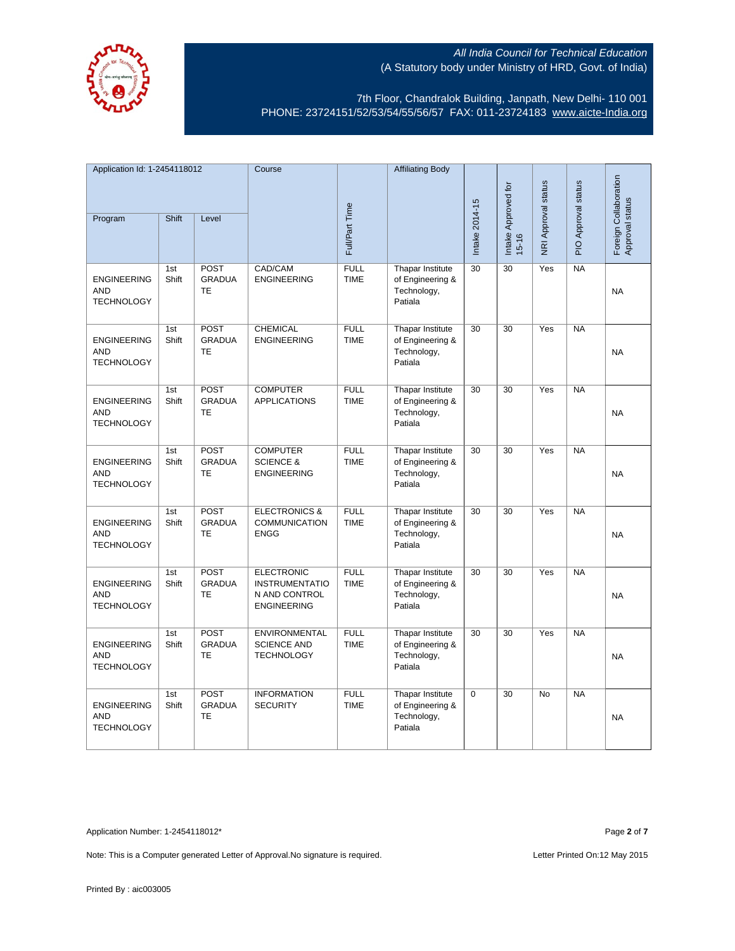

7th Floor, Chandralok Building, Janpath, New Delhi- 110 001 PHONE: 23724151/52/53/54/55/56/57 FAX: 011-23724183 [www.aicte-India.org](http://www.aicte-india.org/)

| Application Id: 1-2454118012                          |              |                                           | Course                                                                            |                            | <b>Affiliating Body</b>                                        |                 |                                  |                            |                     |                                          |
|-------------------------------------------------------|--------------|-------------------------------------------|-----------------------------------------------------------------------------------|----------------------------|----------------------------------------------------------------|-----------------|----------------------------------|----------------------------|---------------------|------------------------------------------|
| Program                                               | Shift        | Level                                     |                                                                                   | Full/Part Time             |                                                                | Intake 2014-15  | Intake Approved for<br>$15 - 16$ | <b>NRI Approval status</b> | PIO Approval status | Foreign Collaboration<br>Approval status |
|                                                       |              |                                           |                                                                                   |                            |                                                                |                 |                                  |                            |                     |                                          |
| <b>ENGINEERING</b><br><b>AND</b><br><b>TECHNOLOGY</b> | 1st<br>Shift | <b>POST</b><br><b>GRADUA</b><br><b>TE</b> | CAD/CAM<br><b>ENGINEERING</b>                                                     | <b>FULL</b><br><b>TIME</b> | Thapar Institute<br>of Engineering &<br>Technology,<br>Patiala | 30              | 30                               | Yes                        | <b>NA</b>           | <b>NA</b>                                |
| <b>ENGINEERING</b><br><b>AND</b><br><b>TECHNOLOGY</b> | 1st<br>Shift | POST<br><b>GRADUA</b><br>TE               | <b>CHEMICAL</b><br><b>ENGINEERING</b>                                             | <b>FULL</b><br><b>TIME</b> | Thapar Institute<br>of Engineering &<br>Technology,<br>Patiala | 30              | 30                               | Yes                        | <b>NA</b>           | <b>NA</b>                                |
| <b>ENGINEERING</b><br><b>AND</b><br><b>TECHNOLOGY</b> | 1st<br>Shift | <b>POST</b><br><b>GRADUA</b><br><b>TE</b> | <b>COMPUTER</b><br><b>APPLICATIONS</b>                                            | <b>FULL</b><br><b>TIME</b> | Thapar Institute<br>of Engineering &<br>Technology,<br>Patiala | 30              | $\overline{30}$                  | Yes                        | $N_A$               | <b>NA</b>                                |
| <b>ENGINEERING</b><br><b>AND</b><br><b>TECHNOLOGY</b> | 1st<br>Shift | POST<br><b>GRADUA</b><br><b>TE</b>        | <b>COMPUTER</b><br><b>SCIENCE &amp;</b><br><b>ENGINEERING</b>                     | <b>FULL</b><br><b>TIME</b> | Thapar Institute<br>of Engineering &<br>Technology,<br>Patiala | $\overline{30}$ | $\overline{30}$                  | Yes                        | $N_A$               | <b>NA</b>                                |
| <b>ENGINEERING</b><br><b>AND</b><br><b>TECHNOLOGY</b> | 1st<br>Shift | POST<br><b>GRADUA</b><br><b>TE</b>        | <b>ELECTRONICS &amp;</b><br><b>COMMUNICATION</b><br><b>ENGG</b>                   | <b>FULL</b><br><b>TIME</b> | Thapar Institute<br>of Engineering &<br>Technology,<br>Patiala | 30              | 30                               | Yes                        | $N_A$               | <b>NA</b>                                |
| <b>ENGINEERING</b><br><b>AND</b><br><b>TECHNOLOGY</b> | 1st<br>Shift | <b>POST</b><br><b>GRADUA</b><br>TE        | <b>ELECTRONIC</b><br><b>INSTRUMENTATIO</b><br>N AND CONTROL<br><b>ENGINEERING</b> | <b>FULL</b><br><b>TIME</b> | Thapar Institute<br>of Engineering &<br>Technology,<br>Patiala | 30              | 30                               | Yes                        | NA                  | <b>NA</b>                                |
| <b>ENGINEERING</b><br><b>AND</b><br><b>TECHNOLOGY</b> | 1st<br>Shift | <b>POST</b><br><b>GRADUA</b><br>TE        | ENVIRONMENTAL<br><b>SCIENCE AND</b><br><b>TECHNOLOGY</b>                          | <b>FULL</b><br><b>TIME</b> | Thapar Institute<br>of Engineering &<br>Technology,<br>Patiala | 30              | $\overline{30}$                  | Yes                        | NA                  | NA                                       |
| <b>ENGINEERING</b><br><b>AND</b><br><b>TECHNOLOGY</b> | 1st<br>Shift | POST<br><b>GRADUA</b><br><b>TE</b>        | <b>INFORMATION</b><br><b>SECURITY</b>                                             | <b>FULL</b><br><b>TIME</b> | Thapar Institute<br>of Engineering &<br>Technology,<br>Patiala | 0               | 30                               | <b>No</b>                  | NA                  | <b>NA</b>                                |

Application Number: 1-2454118012\* Page **2** of **7**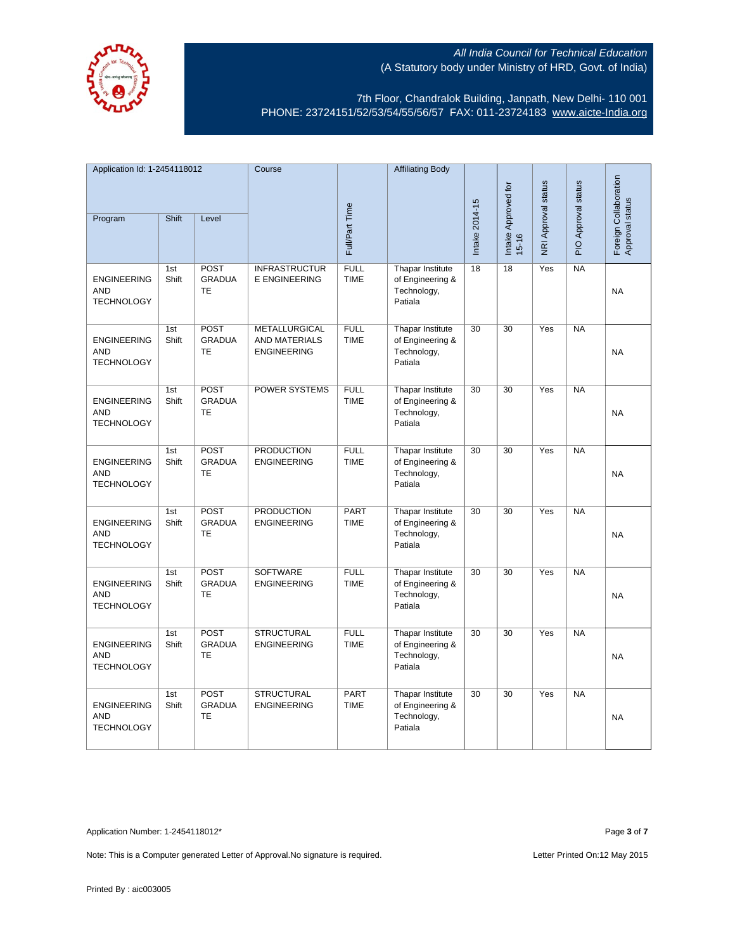

7th Floor, Chandralok Building, Janpath, New Delhi- 110 001 PHONE: 23724151/52/53/54/55/56/57 FAX: 011-23724183 [www.aicte-India.org](http://www.aicte-india.org/)

| Application Id: 1-2454118012                          |              |                                    | Course                                               |                            | <b>Affiliating Body</b>                                        |                 |                                  |                     |                     |                                          |
|-------------------------------------------------------|--------------|------------------------------------|------------------------------------------------------|----------------------------|----------------------------------------------------------------|-----------------|----------------------------------|---------------------|---------------------|------------------------------------------|
| Program                                               | Shift        | Level                              |                                                      | Full/Part Time             |                                                                | Intake 2014-15  | Intake Approved for<br>$15 - 16$ | NRI Approval status | PIO Approval status | Foreign Collaboration<br>Approval status |
| <b>ENGINEERING</b><br><b>AND</b><br><b>TECHNOLOGY</b> | 1st<br>Shift | POST<br><b>GRADUA</b><br>TE        | <b>INFRASTRUCTUR</b><br>E ENGINEERING                | <b>FULL</b><br><b>TIME</b> | Thapar Institute<br>of Engineering &<br>Technology,<br>Patiala | 18              | $\overline{18}$                  | Yes                 | NA                  | <b>NA</b>                                |
| <b>ENGINEERING</b><br><b>AND</b><br><b>TECHNOLOGY</b> | 1st<br>Shift | POST<br><b>GRADUA</b><br>TE        | METALLURGICAL<br>AND MATERIALS<br><b>ENGINEERING</b> | <b>FULL</b><br><b>TIME</b> | Thapar Institute<br>of Engineering &<br>Technology,<br>Patiala | $\overline{30}$ | $\overline{30}$                  | Yes                 | NA                  | <b>NA</b>                                |
| <b>ENGINEERING</b><br><b>AND</b><br><b>TECHNOLOGY</b> | 1st<br>Shift | <b>POST</b><br><b>GRADUA</b><br>TE | POWER SYSTEMS                                        | <b>FULL</b><br><b>TIME</b> | Thapar Institute<br>of Engineering &<br>Technology,<br>Patiala | $\overline{30}$ | 30                               | Yes                 | NA                  | <b>NA</b>                                |
| <b>ENGINEERING</b><br><b>AND</b><br><b>TECHNOLOGY</b> | 1st<br>Shift | POST<br><b>GRADUA</b><br><b>TE</b> | <b>PRODUCTION</b><br><b>ENGINEERING</b>              | <b>FULL</b><br><b>TIME</b> | Thapar Institute<br>of Engineering &<br>Technology,<br>Patiala | $\overline{30}$ | $\overline{30}$                  | Yes                 | NA                  | <b>NA</b>                                |
| <b>ENGINEERING</b><br><b>AND</b><br><b>TECHNOLOGY</b> | 1st<br>Shift | POST<br><b>GRADUA</b><br>TE        | <b>PRODUCTION</b><br><b>ENGINEERING</b>              | <b>PART</b><br><b>TIME</b> | Thapar Institute<br>of Engineering &<br>Technology,<br>Patiala | $\overline{30}$ | $\overline{30}$                  | Yes                 | NA                  | <b>NA</b>                                |
| <b>ENGINEERING</b><br><b>AND</b><br><b>TECHNOLOGY</b> | 1st<br>Shift | POST<br><b>GRADUA</b><br><b>TE</b> | <b>SOFTWARE</b><br><b>ENGINEERING</b>                | <b>FULL</b><br><b>TIME</b> | Thapar Institute<br>of Engineering &<br>Technology,<br>Patiala | $\overline{30}$ | $\overline{30}$                  | Yes                 | NA                  | <b>NA</b>                                |
| <b>ENGINEERING</b><br><b>AND</b><br><b>TECHNOLOGY</b> | 1st<br>Shift | POST<br><b>GRADUA</b><br><b>TE</b> | <b>STRUCTURAL</b><br><b>ENGINEERING</b>              | <b>FULL</b><br><b>TIME</b> | Thapar Institute<br>of Engineering &<br>Technology,<br>Patiala | 30              | $\overline{30}$                  | Yes                 | <b>NA</b>           | <b>NA</b>                                |
| <b>ENGINEERING</b><br><b>AND</b><br><b>TECHNOLOGY</b> | 1st<br>Shift | POST<br><b>GRADUA</b><br><b>TE</b> | <b>STRUCTURAL</b><br><b>ENGINEERING</b>              | PART<br><b>TIME</b>        | Thapar Institute<br>of Engineering &<br>Technology,<br>Patiala | 30              | $\overline{30}$                  | Yes                 | NA                  | <b>NA</b>                                |

Application Number: 1-2454118012\* Page **3** of **7**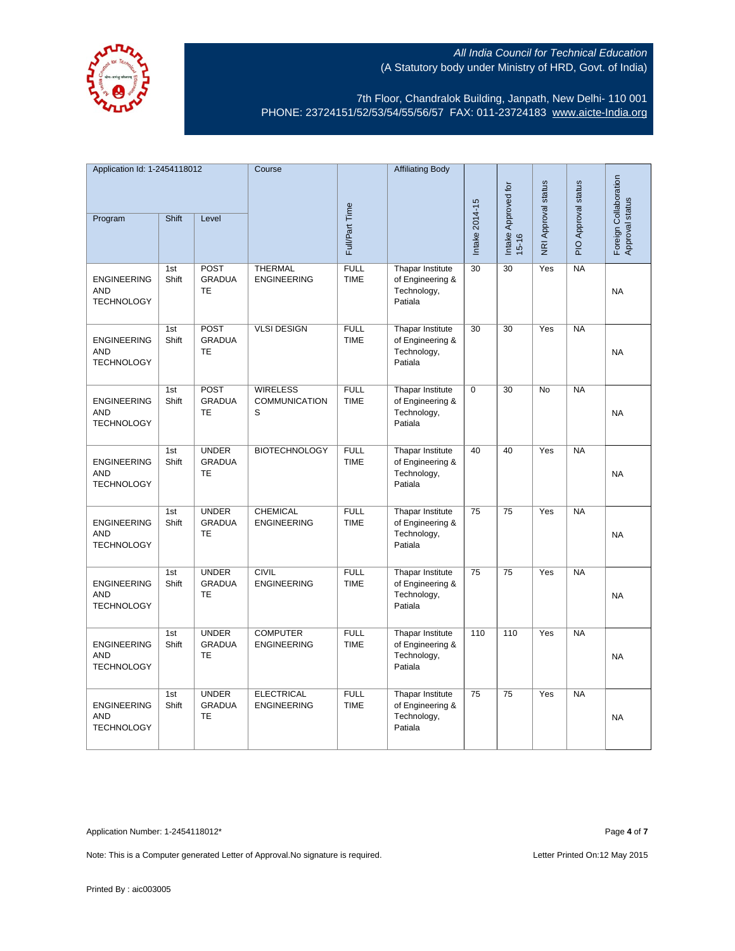

7th Floor, Chandralok Building, Janpath, New Delhi- 110 001 PHONE: 23724151/52/53/54/55/56/57 FAX: 011-23724183 [www.aicte-India.org](http://www.aicte-india.org/)

| Application Id: 1-2454118012                          |              |                                            | Course                                       |                            | <b>Affiliating Body</b>                                        |                     |                     |                     |                                          |           |
|-------------------------------------------------------|--------------|--------------------------------------------|----------------------------------------------|----------------------------|----------------------------------------------------------------|---------------------|---------------------|---------------------|------------------------------------------|-----------|
| Shift<br>Level<br>Program                             |              |                                            |                                              |                            |                                                                | Intake Approved for | NRI Approval status | PIO Approval status | Foreign Collaboration<br>Approval status |           |
|                                                       |              |                                            |                                              | Full/Part Time             |                                                                | Intake 2014-15      | $15 - 16$           |                     |                                          |           |
| <b>ENGINEERING</b><br><b>AND</b><br><b>TECHNOLOGY</b> | 1st<br>Shift | <b>POST</b><br><b>GRADUA</b><br><b>TE</b>  | <b>THERMAL</b><br><b>ENGINEERING</b>         | <b>FULL</b><br><b>TIME</b> | Thapar Institute<br>of Engineering &<br>Technology,<br>Patiala | 30                  | 30                  | Yes                 | NA                                       | <b>NA</b> |
| <b>ENGINEERING</b><br><b>AND</b><br><b>TECHNOLOGY</b> | 1st<br>Shift | <b>POST</b><br><b>GRADUA</b><br><b>TE</b>  | <b>VLSI DESIGN</b>                           | <b>FULL</b><br><b>TIME</b> | Thapar Institute<br>of Engineering &<br>Technology,<br>Patiala | 30                  | 30                  | Yes                 | $N_A$                                    | <b>NA</b> |
| <b>ENGINEERING</b><br><b>AND</b><br><b>TECHNOLOGY</b> | 1st<br>Shift | <b>POST</b><br><b>GRADUA</b><br><b>TE</b>  | <b>WIRELESS</b><br><b>COMMUNICATION</b><br>S | <b>FULL</b><br><b>TIME</b> | Thapar Institute<br>of Engineering &<br>Technology,<br>Patiala | $\mathbf 0$         | 30                  | <b>No</b>           | <b>NA</b>                                | <b>NA</b> |
| <b>ENGINEERING</b><br><b>AND</b><br><b>TECHNOLOGY</b> | 1st<br>Shift | <b>UNDER</b><br><b>GRADUA</b><br>TE        | <b>BIOTECHNOLOGY</b>                         | <b>FULL</b><br><b>TIME</b> | Thapar Institute<br>of Engineering &<br>Technology,<br>Patiala | 40                  | 40                  | Yes                 | NA                                       | <b>NA</b> |
| <b>ENGINEERING</b><br><b>AND</b><br><b>TECHNOLOGY</b> | 1st<br>Shift | <b>UNDER</b><br><b>GRADUA</b><br>TE        | <b>CHEMICAL</b><br><b>ENGINEERING</b>        | <b>FULL</b><br><b>TIME</b> | Thapar Institute<br>of Engineering &<br>Technology,<br>Patiala | $\overline{75}$     | $\overline{75}$     | Yes                 | $N_A$                                    | <b>NA</b> |
| <b>ENGINEERING</b><br><b>AND</b><br><b>TECHNOLOGY</b> | 1st<br>Shift | <b>UNDER</b><br><b>GRADUA</b><br>TE        | <b>CIVIL</b><br><b>ENGINEERING</b>           | <b>FULL</b><br><b>TIME</b> | Thapar Institute<br>of Engineering &<br>Technology,<br>Patiala | $\overline{75}$     | $\overline{75}$     | Yes                 | NA                                       | <b>NA</b> |
| <b>ENGINEERING</b><br><b>AND</b><br><b>TECHNOLOGY</b> | 1st<br>Shift | <b>UNDER</b><br><b>GRADUA</b><br>TE        | <b>COMPUTER</b><br><b>ENGINEERING</b>        | <b>FULL</b><br><b>TIME</b> | Thapar Institute<br>of Engineering &<br>Technology,<br>Patiala | 110                 | 110                 | Yes                 | <b>NA</b>                                | NA        |
| <b>ENGINEERING</b><br><b>AND</b><br><b>TECHNOLOGY</b> | 1st<br>Shift | <b>UNDER</b><br><b>GRADUA</b><br><b>TE</b> | <b>ELECTRICAL</b><br><b>ENGINEERING</b>      | <b>FULL</b><br><b>TIME</b> | Thapar Institute<br>of Engineering &<br>Technology,<br>Patiala | 75                  | $\overline{75}$     | Yes                 | NA                                       | <b>NA</b> |

Application Number: 1-2454118012\* Page **4** of **7**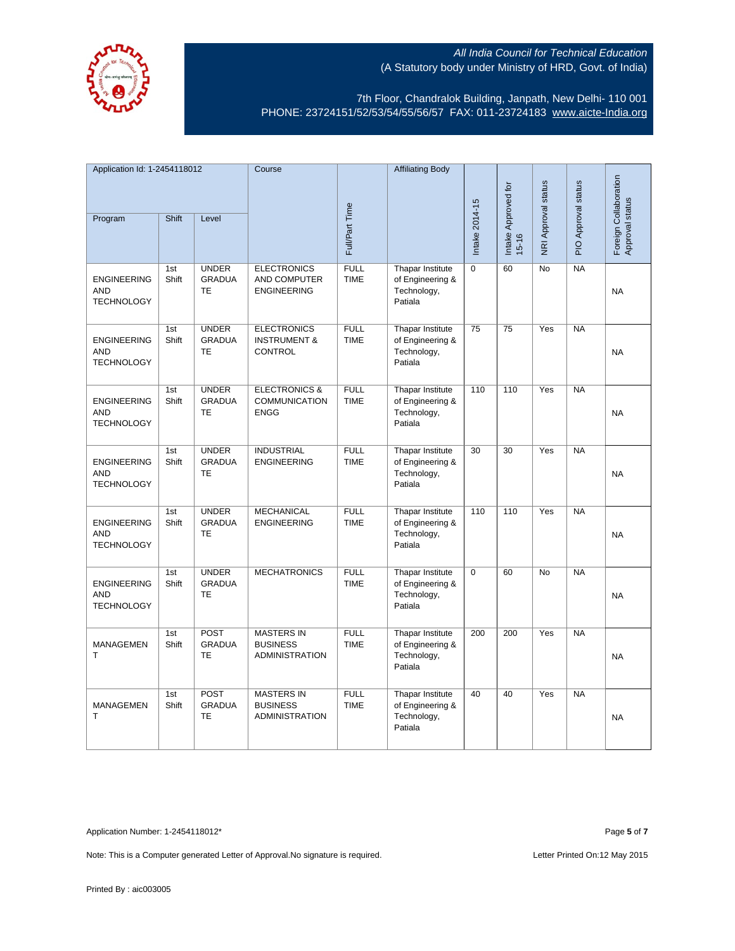

7th Floor, Chandralok Building, Janpath, New Delhi- 110 001 PHONE: 23724151/52/53/54/55/56/57 FAX: 011-23724183 [www.aicte-India.org](http://www.aicte-india.org/)

| Application Id: 1-2454118012                          |              |                                            | Course                                                          |                            | <b>Affiliating Body</b>                                        |                |                                  |                            |                     |                                          |
|-------------------------------------------------------|--------------|--------------------------------------------|-----------------------------------------------------------------|----------------------------|----------------------------------------------------------------|----------------|----------------------------------|----------------------------|---------------------|------------------------------------------|
| Program                                               | Shift        | Level                                      |                                                                 | Full/Part Time             |                                                                | Intake 2014-15 | Intake Approved for<br>$15 - 16$ | <b>NRI Approval status</b> | PIO Approval status | Foreign Collaboration<br>Approval status |
| <b>ENGINEERING</b><br><b>AND</b><br><b>TECHNOLOGY</b> | 1st<br>Shift | <b>UNDER</b><br><b>GRADUA</b><br><b>TE</b> | <b>ELECTRONICS</b><br>AND COMPUTER<br><b>ENGINEERING</b>        | <b>FULL</b><br><b>TIME</b> | Thapar Institute<br>of Engineering &<br>Technology,<br>Patiala | $\Omega$       | 60                               | <b>No</b>                  | NA                  | <b>NA</b>                                |
| <b>ENGINEERING</b><br><b>AND</b><br><b>TECHNOLOGY</b> | 1st<br>Shift | <b>UNDER</b><br><b>GRADUA</b><br><b>TE</b> | <b>ELECTRONICS</b><br><b>INSTRUMENT &amp;</b><br>CONTROL        | <b>FULL</b><br><b>TIME</b> | Thapar Institute<br>of Engineering &<br>Technology,<br>Patiala | 75             | $\overline{75}$                  | Yes                        | NA                  | <b>NA</b>                                |
| <b>ENGINEERING</b><br><b>AND</b><br><b>TECHNOLOGY</b> | 1st<br>Shift | <b>UNDER</b><br><b>GRADUA</b><br><b>TE</b> | <b>ELECTRONICS &amp;</b><br><b>COMMUNICATION</b><br><b>ENGG</b> | <b>FULL</b><br><b>TIME</b> | Thapar Institute<br>of Engineering &<br>Technology,<br>Patiala | 110            | 110                              | Yes                        | <b>NA</b>           | <b>NA</b>                                |
| <b>ENGINEERING</b><br><b>AND</b><br><b>TECHNOLOGY</b> | 1st<br>Shift | <b>UNDER</b><br><b>GRADUA</b><br>TE        | <b>INDUSTRIAL</b><br><b>ENGINEERING</b>                         | <b>FULL</b><br><b>TIME</b> | Thapar Institute<br>of Engineering &<br>Technology,<br>Patiala | 30             | $\overline{30}$                  | Yes                        | <b>NA</b>           | <b>NA</b>                                |
| <b>ENGINEERING</b><br><b>AND</b><br><b>TECHNOLOGY</b> | 1st<br>Shift | <b>UNDER</b><br><b>GRADUA</b><br><b>TE</b> | <b>MECHANICAL</b><br><b>ENGINEERING</b>                         | <b>FULL</b><br><b>TIME</b> | Thapar Institute<br>of Engineering &<br>Technology,<br>Patiala | 110            | 110                              | Yes                        | <b>NA</b>           | <b>NA</b>                                |
| <b>ENGINEERING</b><br><b>AND</b><br><b>TECHNOLOGY</b> | 1st<br>Shift | <b>UNDER</b><br><b>GRADUA</b><br><b>TE</b> | <b>MECHATRONICS</b>                                             | <b>FULL</b><br><b>TIME</b> | Thapar Institute<br>of Engineering &<br>Technology,<br>Patiala | 0              | 60                               | No                         | NA                  | <b>NA</b>                                |
| MANAGEMEN<br>T.                                       | 1st<br>Shift | <b>POST</b><br><b>GRADUA</b><br>TE         | <b>MASTERS IN</b><br><b>BUSINESS</b><br><b>ADMINISTRATION</b>   | <b>FULL</b><br><b>TIME</b> | Thapar Institute<br>of Engineering &<br>Technology,<br>Patiala | 200            | 200                              | Yes                        | <b>NA</b>           | <b>NA</b>                                |
| MANAGEMEN<br>T                                        | 1st<br>Shift | <b>POST</b><br><b>GRADUA</b><br>TE         | <b>MASTERS IN</b><br><b>BUSINESS</b><br><b>ADMINISTRATION</b>   | <b>FULL</b><br><b>TIME</b> | Thapar Institute<br>of Engineering &<br>Technology,<br>Patiala | 40             | 40                               | Yes                        | <b>NA</b>           | <b>NA</b>                                |

Application Number: 1-2454118012\* Page **5** of **7**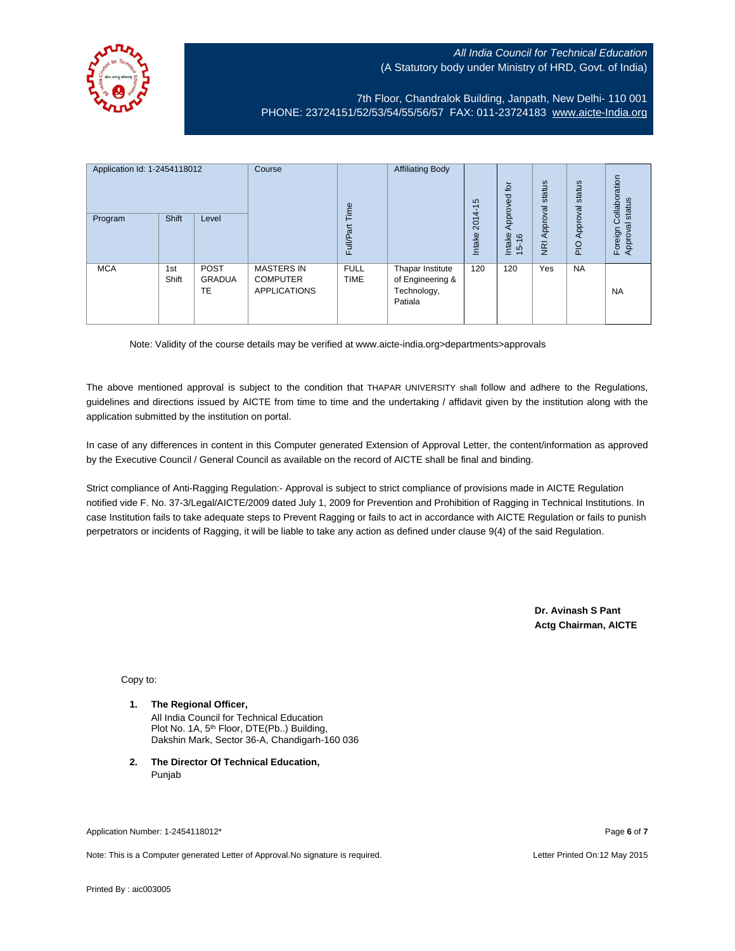

7th Floor, Chandralok Building, Janpath, New Delhi- 110 001 PHONE: 23724151/52/53/54/55/56/57 FAX: 011-23724183 [www.aicte-India.org](http://www.aicte-india.org/)

| Application Id: 1-2454118012<br>Program | <b>Shift</b> | Level                       | Course                                                      | Time<br><b>Full/Part</b>   | <b>Affiliating Body</b>                                        | S<br>$\overline{\phantom{0}}$<br>2014<br>Intake | $\overline{5}$<br>g<br>Approve<br>Intake<br>$\frac{6}{2}$<br>$\frac{1}{2}$ | status<br>Approval<br>$\overline{g}$ | status<br>Approval<br>$rac{O}{4}$ | Collaboration<br>status<br>त्त<br>Foreign<br>Approva |
|-----------------------------------------|--------------|-----------------------------|-------------------------------------------------------------|----------------------------|----------------------------------------------------------------|-------------------------------------------------|----------------------------------------------------------------------------|--------------------------------------|-----------------------------------|------------------------------------------------------|
| <b>MCA</b>                              | 1st<br>Shift | <b>POST</b><br>GRADUA<br>TE | <b>MASTERS IN</b><br><b>COMPUTER</b><br><b>APPLICATIONS</b> | <b>FULL</b><br><b>TIME</b> | Thapar Institute<br>of Engineering &<br>Technology,<br>Patiala | 120                                             | 120                                                                        | Yes                                  | <b>NA</b>                         | <b>NA</b>                                            |

Note: Validity of the course details may be verified at www.aicte-india.org>departments>approvals

The above mentioned approval is subject to the condition that THAPAR UNIVERSITY shall follow and adhere to the Regulations, guidelines and directions issued by AICTE from time to time and the undertaking / affidavit given by the institution along with the application submitted by the institution on portal.

In case of any differences in content in this Computer generated Extension of Approval Letter, the content/information as approved by the Executive Council / General Council as available on the record of AICTE shall be final and binding.

Strict compliance of Anti-Ragging Regulation:- Approval is subject to strict compliance of provisions made in AICTE Regulation notified vide F. No. 37-3/Legal/AICTE/2009 dated July 1, 2009 for Prevention and Prohibition of Ragging in Technical Institutions. In case Institution fails to take adequate steps to Prevent Ragging or fails to act in accordance with AICTE Regulation or fails to punish perpetrators or incidents of Ragging, it will be liable to take any action as defined under clause 9(4) of the said Regulation.

> **Dr. Avinash S Pant Actg Chairman, AICTE**

Copy to:

- **1. The Regional Officer,** All India Council for Technical Education Plot No. 1A, 5<sup>th</sup> Floor, DTE(Pb..) Building, Dakshin Mark, Sector 36-A, Chandigarh-160 036
- **2. The Director Of Technical Education,** Punjab

Application Number: 1-2454118012\* Page **6** of **7**

Note: This is a Computer generated Letter of Approval.No signature is required. Letter Approversity control and the United On:12 May 2015